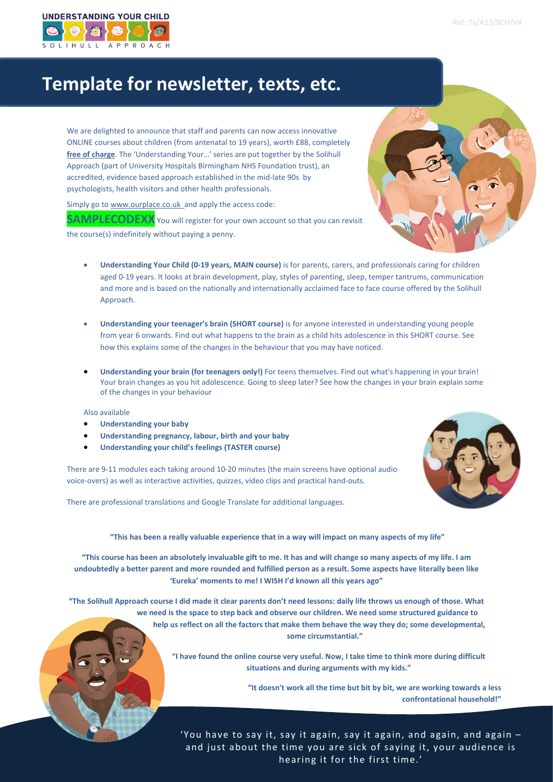

# **Template for newsletter, texts, etc.**

We are delighted to announce that staff and parents can now access innovative ONLINE courses about children (from antenatal to 19 years), worth £88, completely **free of charge**. The 'Understanding Your…' series are put together by the Solihull Approach (part of University Hospitals Birmingham NHS Foundation trust), an accredited, evidence based approach established in the mid-late 90s by psychologists, health visitors and other health professionals.

Simply go t[o www.ourplace.co.uk a](http://www.ourplace.co.uk/)nd apply the access code:

**SAMPLECODEXX** You will register for your own account so that you can revisit

the course(s) indefinitely without paying a penny.

- **Understanding Your Child (0-19 years, MAIN course)** is for parents, carers, and professionals caring for children aged 0-19 years. It looks at brain development, play, styles of parenting, sleep, temper tantrums, communication and more and is based on the nationally and internationally acclaimed face to face course offered by the Solihull Approach.
- **Understanding your teenager's brain (SHORT course)** is for anyone interested in understanding young people from year 6 onwards. Find out what happens to the brain as a child hits adolescence in this SHORT course. See how this explains some of the changes in the behaviour that you may have noticed.
- **Understanding your brain (for teenagers only!)** For teens themselves. Find out what's happening in your brain! Your brain changes as you hit adolescence. Going to sleep later? See how the changes in your brain explain some of the changes in your behaviour

### Also available

- **Understanding your baby**
- **Understanding pregnancy, labour, birth and your baby**
- **Understanding your child's feelings (TASTER course)**

There are 9-11 modules each taking around 10-20 minutes (the main screens have optional audio voice-overs) as well as interactive activities, quizzes, video clips and practical hand-outs.

There are professional translations and Google Translate for additional languages.



**"This has been a really valuable experience that in a way will impact on many aspects of my life"**

**"This course has been an absolutely invaluable gift to me. It has and will change so many aspects of my life. I am undoubtedly a better parent and more rounded and fulfilled person as a result. Some aspects have literally been like 'Eureka' moments to me! I WISH I'd known all this years ago"**

**"The Solihull Approach course I did made it clear parents don't need lessons: daily life throws us enough of those. What we need is the space to step back and observe our children. We need some structured guidance to help us reflect on all the factors that make them behave the way they do; some developmental, some circumstantial."**

> **"I have found the online course very useful. Now, I take time to think more during difficult situations and during arguments with my kids."**

> > **"It doesn't work all the time but bit by bit, we are working towards a less confrontational household!"**

'You have to say it, say it again, say it again, and again, and again – and just about the time you are sick of saying it, your audience is hearing it for the first time.'